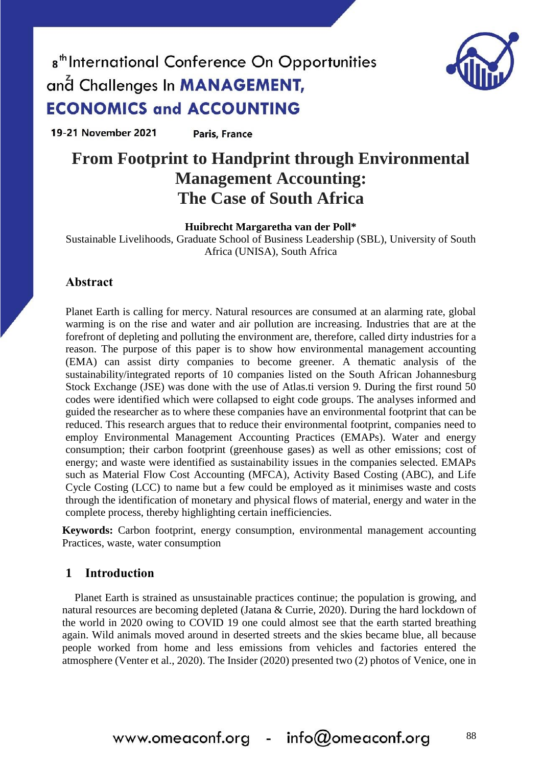

19-21 November 2021 **Paris, France** 

### **From Footprint to Handprint through Environmental Management Accounting: The Case of South Africa**

**Huibrecht Margaretha van der Poll\***

Sustainable Livelihoods, Graduate School of Business Leadership (SBL), University of South Africa (UNISA), South Africa

### **Abstract**

Planet Earth is calling for mercy. Natural resources are consumed at an alarming rate, global warming is on the rise and water and air pollution are increasing. Industries that are at the forefront of depleting and polluting the environment are, therefore, called dirty industries for a reason. The purpose of this paper is to show how environmental management accounting (EMA) can assist dirty companies to become greener. A thematic analysis of the sustainability/integrated reports of 10 companies listed on the South African Johannesburg Stock Exchange (JSE) was done with the use of Atlas.ti version 9. During the first round 50 codes were identified which were collapsed to eight code groups. The analyses informed and guided the researcher as to where these companies have an environmental footprint that can be reduced. This research argues that to reduce their environmental footprint, companies need to employ Environmental Management Accounting Practices (EMAPs). Water and energy consumption; their carbon footprint (greenhouse gases) as well as other emissions; cost of energy; and waste were identified as sustainability issues in the companies selected. EMAPs such as Material Flow Cost Accounting (MFCA), Activity Based Costing (ABC), and Life Cycle Costing (LCC) to name but a few could be employed as it minimises waste and costs through the identification of monetary and physical flows of material, energy and water in the complete process, thereby highlighting certain inefficiencies.

**Keywords:** Carbon footprint, energy consumption, environmental management accounting Practices, waste, water consumption

### **1 Introduction**

Planet Earth is strained as unsustainable practices continue; the population is growing, and natural resources are becoming depleted (Jatana & Currie, 2020). During the hard lockdown of the world in 2020 owing to COVID 19 one could almost see that the earth started breathing again. Wild animals moved around in deserted streets and the skies became blue, all because people worked from home and less emissions from vehicles and factories entered the atmosphere (Venter et al., 2020). The Insider (2020) presented two (2) photos of Venice, one in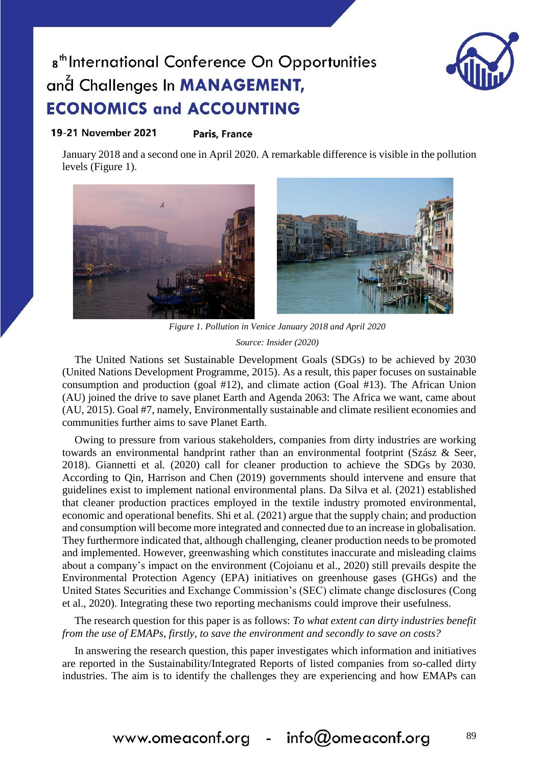

#### 19-21 November 2021 **Paris, France**

January 2018 and a second one in April 2020. A remarkable difference is visible in the pollution levels (Figure 1).



*Figure 1. Pollution in Venice January 2018 and April 2020 Source: Insider (2020)*

The United Nations set Sustainable Development Goals (SDGs) to be achieved by 2030 (United Nations Development Programme, 2015). As a result, this paper focuses on sustainable consumption and production (goal #12), and climate action (Goal #13). The African Union (AU) joined the drive to save planet Earth and Agenda 2063: The Africa we want, came about (AU, 2015). Goal #7, namely, Environmentally sustainable and climate resilient economies and communities further aims to save Planet Earth.

Owing to pressure from various stakeholders, companies from dirty industries are working towards an environmental handprint rather than an environmental footprint (Szász & Seer, 2018). Giannetti et al*.* (2020) call for cleaner production to achieve the SDGs by 2030. According to Qin, Harrison and Chen (2019) governments should intervene and ensure that guidelines exist to implement national environmental plans. Da Silva et al*.* (2021) established that cleaner production practices employed in the textile industry promoted environmental, economic and operational benefits. Shi et al*.* (2021) argue that the supply chain; and production and consumption will become more integrated and connected due to an increase in globalisation. They furthermore indicated that, although challenging, cleaner production needs to be promoted and implemented. However, greenwashing which constitutes inaccurate and misleading claims about a company's impact on the environment (Cojoianu et al., 2020) still prevails despite the Environmental Protection Agency (EPA) initiatives on greenhouse gases (GHGs) and the United States Securities and Exchange Commission's (SEC) climate change disclosures (Cong et al., 2020). Integrating these two reporting mechanisms could improve their usefulness.

The research question for this paper is as follows: *To what extent can dirty industries benefit from the use of EMAPs, firstly, to save the environment and secondly to save on costs?*

In answering the research question, this paper investigates which information and initiatives are reported in the Sustainability/Integrated Reports of listed companies from so-called dirty industries. The aim is to identify the challenges they are experiencing and how EMAPs can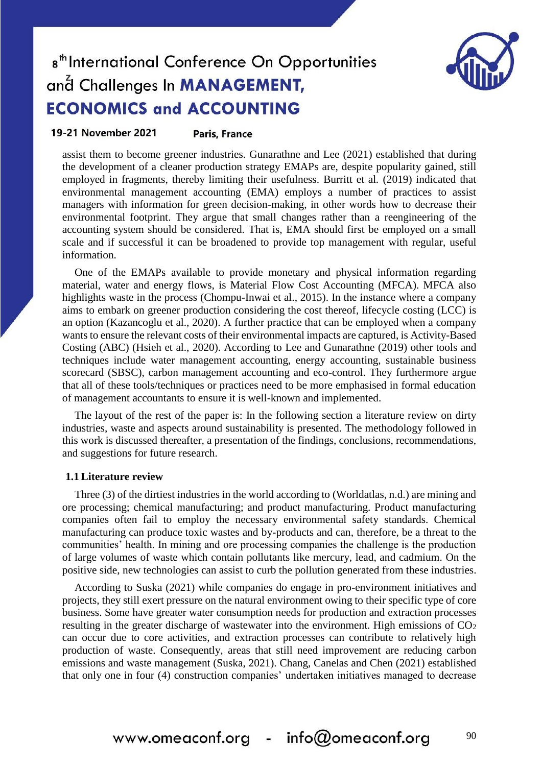

#### 19-21 November 2021 **Paris, France**

assist them to become greener industries. Gunarathne and Lee (2021) established that during the development of a cleaner production strategy EMAPs are, despite popularity gained, still employed in fragments, thereby limiting their usefulness. Burritt et al*.* (2019) indicated that environmental management accounting (EMA) employs a number of practices to assist managers with information for green decision-making, in other words how to decrease their environmental footprint. They argue that small changes rather than a reengineering of the accounting system should be considered. That is, EMA should first be employed on a small scale and if successful it can be broadened to provide top management with regular, useful information.

One of the EMAPs available to provide monetary and physical information regarding material, water and energy flows, is Material Flow Cost Accounting (MFCA). MFCA also highlights waste in the process (Chompu-Inwai et al., 2015). In the instance where a company aims to embark on greener production considering the cost thereof, lifecycle costing (LCC) is an option (Kazancoglu et al., 2020). A further practice that can be employed when a company wants to ensure the relevant costs of their environmental impacts are captured, is Activity-Based Costing (ABC) (Hsieh et al., 2020). According to Lee and Gunarathne (2019) other tools and techniques include water management accounting, energy accounting, sustainable business scorecard (SBSC), carbon management accounting and eco-control. They furthermore argue that all of these tools/techniques or practices need to be more emphasised in formal education of management accountants to ensure it is well-known and implemented.

The layout of the rest of the paper is: In the following section a literature review on dirty industries, waste and aspects around sustainability is presented. The methodology followed in this work is discussed thereafter, a presentation of the findings, conclusions, recommendations, and suggestions for future research.

#### **1.1 Literature review**

Three (3) of the dirtiest industries in the world according to (Worldatlas, n.d.) are mining and ore processing; chemical manufacturing; and product manufacturing. Product manufacturing companies often fail to employ the necessary environmental safety standards. Chemical manufacturing can produce toxic wastes and by-products and can, therefore, be a threat to the communities' health. In mining and ore processing companies the challenge is the production of large volumes of waste which contain pollutants like mercury, lead, and cadmium. On the positive side, new technologies can assist to curb the pollution generated from these industries.

According to Suska (2021) while companies do engage in pro-environment initiatives and projects, they still exert pressure on the natural environment owing to their specific type of core business. Some have greater water consumption needs for production and extraction processes resulting in the greater discharge of wastewater into the environment. High emissions of  $CO<sub>2</sub>$ can occur due to core activities, and extraction processes can contribute to relatively high production of waste. Consequently, areas that still need improvement are reducing carbon emissions and waste management (Suska, 2021). Chang, Canelas and Chen (2021) established that only one in four (4) construction companies' undertaken initiatives managed to decrease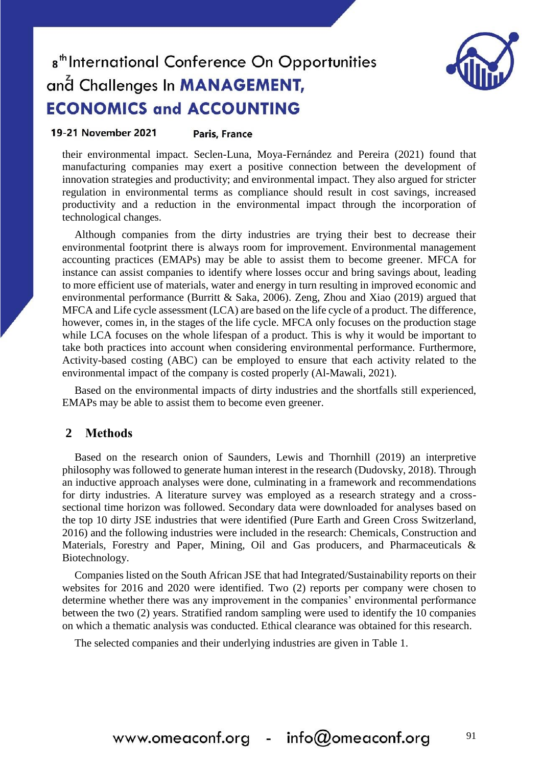

#### 19-21 November 2021 **Paris, France**

their environmental impact. Seclen-Luna, Moya-Fernández and Pereira (2021) found that manufacturing companies may exert a positive connection between the development of innovation strategies and productivity; and environmental impact. They also argued for stricter regulation in environmental terms as compliance should result in cost savings, increased productivity and a reduction in the environmental impact through the incorporation of technological changes.

Although companies from the dirty industries are trying their best to decrease their environmental footprint there is always room for improvement. Environmental management accounting practices (EMAPs) may be able to assist them to become greener. MFCA for instance can assist companies to identify where losses occur and bring savings about, leading to more efficient use of materials, water and energy in turn resulting in improved economic and environmental performance (Burritt & Saka, 2006). Zeng, Zhou and Xiao (2019) argued that MFCA and Life cycle assessment (LCA) are based on the life cycle of a product. The difference, however, comes in, in the stages of the life cycle. MFCA only focuses on the production stage while LCA focuses on the whole lifespan of a product. This is why it would be important to take both practices into account when considering environmental performance. Furthermore, Activity-based costing (ABC) can be employed to ensure that each activity related to the environmental impact of the company is costed properly (Al-Mawali, 2021).

Based on the environmental impacts of dirty industries and the shortfalls still experienced, EMAPs may be able to assist them to become even greener.

### **2 Methods**

Based on the research onion of Saunders, Lewis and Thornhill (2019) an interpretive philosophy was followed to generate human interest in the research (Dudovsky, 2018). Through an inductive approach analyses were done, culminating in a framework and recommendations for dirty industries. A literature survey was employed as a research strategy and a crosssectional time horizon was followed. Secondary data were downloaded for analyses based on the top 10 dirty JSE industries that were identified (Pure Earth and Green Cross Switzerland, 2016) and the following industries were included in the research: Chemicals, Construction and Materials, Forestry and Paper, Mining, Oil and Gas producers, and Pharmaceuticals & Biotechnology.

Companies listed on the South African JSE that had Integrated/Sustainability reports on their websites for 2016 and 2020 were identified. Two (2) reports per company were chosen to determine whether there was any improvement in the companies' environmental performance between the two (2) years. Stratified random sampling were used to identify the 10 companies on which a thematic analysis was conducted. Ethical clearance was obtained for this research.

The selected companies and their underlying industries are given in [Table 1.](#page-4-0)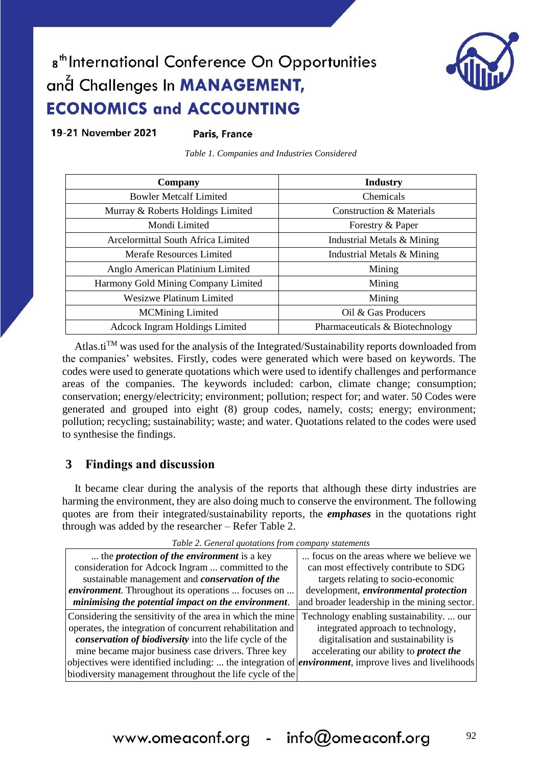19-21 November 2021

**Paris, France** 

*Table 1. Companies and Industries Considered*

<span id="page-4-0"></span>

| Company                               | <b>Industry</b>                     |
|---------------------------------------|-------------------------------------|
| <b>Bowler Metcalf Limited</b>         | <b>Chemicals</b>                    |
| Murray & Roberts Holdings Limited     | <b>Construction &amp; Materials</b> |
| Mondi Limited                         | Forestry & Paper                    |
| Arcelormittal South Africa Limited    | Industrial Metals & Mining          |
| Merafe Resources Limited              | Industrial Metals & Mining          |
| Anglo American Platinium Limited      | Mining                              |
| Harmony Gold Mining Company Limited   | Mining                              |
| <b>Wesizwe Platinum Limited</b>       | Mining                              |
| <b>MCMining Limited</b>               | Oil & Gas Producers                 |
| <b>Adcock Ingram Holdings Limited</b> | Pharmaceuticals & Biotechnology     |

Atlas.ti<sup>TM</sup> was used for the analysis of the Integrated/Sustainability reports downloaded from the companies' websites. Firstly, codes were generated which were based on keywords. The codes were used to generate quotations which were used to identify challenges and performance areas of the companies. The keywords included: carbon, climate change; consumption; conservation; energy/electricity; environment; pollution; respect for; and water. 50 Codes were generated and grouped into eight (8) group codes, namely, costs; energy; environment; pollution; recycling; sustainability; waste; and water. Quotations related to the codes were used to synthesise the findings.

### **3 Findings and discussion**

It became clear during the analysis of the reports that although these dirty industries are harming the environment, they are also doing much to conserve the environment. The following quotes are from their integrated/sustainability reports, the *emphases* in the quotations right through was added by the researcher – Refer Table 2.

| <b>T</b> word <b>E</b> : Ocher ar gao annono from company biarchienno                                        |                                                |
|--------------------------------------------------------------------------------------------------------------|------------------------------------------------|
| the <i>protection of the environment</i> is a key                                                            | focus on the areas where we believe we         |
| consideration for Adcock Ingram  committed to the                                                            | can most effectively contribute to SDG         |
| sustainable management and <i>conservation</i> of the                                                        | targets relating to socio-economic             |
| <i>environment</i> . Throughout its operations  focuses on                                                   | development, environmental protection          |
| minimising the potential impact on the environment.                                                          | and broader leadership in the mining sector.   |
| Considering the sensitivity of the area in which the mine                                                    | Technology enabling sustainability.  our       |
| operates, the integration of concurrent rehabilitation and                                                   | integrated approach to technology,             |
| conservation of biodiversity into the life cycle of the                                                      | digitalisation and sustainability is           |
| mine became major business case drivers. Three key                                                           | accelerating our ability to <i>protect the</i> |
| objectives were identified including:  the integration of <i>environment</i> , improve lives and livelihoods |                                                |
| biodiversity management throughout the life cycle of the                                                     |                                                |

*Table 2. General quotations from company statements*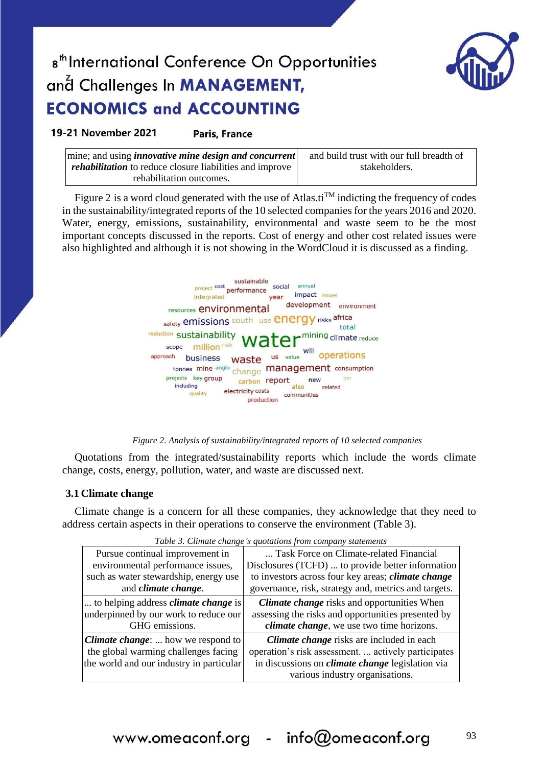

19-21 November 2021

**Paris, France** 

| $\vert$ mine; and using <i>innovative mine design and concurrent</i> | and build trust with our full breadth of |
|----------------------------------------------------------------------|------------------------------------------|
| <i>rehabilitation</i> to reduce closure liabilities and improve      | stakeholders.                            |
| rehabilitation outcomes.                                             |                                          |

Figure 2 is a word cloud generated with the use of Atlas.ti<sup>TM</sup> indicting the frequency of codes in the sustainability/integrated reports of the 10 selected companies for the years 2016 and 2020. Water, energy, emissions, sustainability, environmental and waste seem to be the most important concepts discussed in the reports. Cost of energy and other cost related issues were also highlighted and although it is not showing in the WordCloud it is discussed as a finding.



*Figure 2. Analysis of sustainability/integrated reports of 10 selected companies*

Quotations from the integrated/sustainability reports which include the words climate change, costs, energy, pollution, water, and waste are discussed next.

### **3.1 Climate change**

Climate change is a concern for all these companies, they acknowledge that they need to address certain aspects in their operations to conserve the environment (Table 3).

|                                             | Table 5. Cumate change 8 quotations from company statements |
|---------------------------------------------|-------------------------------------------------------------|
| Pursue continual improvement in             | Task Force on Climate-related Financial                     |
| environmental performance issues,           | Disclosures (TCFD)  to provide better information           |
| such as water stewardship, energy use       | to investors across four key areas; <i>climate change</i>   |
| and climate change.                         | governance, risk, strategy and, metrics and targets.        |
| to helping address <i>climate change</i> is | <b>Climate change</b> risks and opportunities When          |
| underpinned by our work to reduce our       | assessing the risks and opportunities presented by          |
| GHG emissions.                              | <i>climate change</i> , we use two time horizons.           |
| <b>Climate change:</b> how we respond to    | <i>Climate change</i> risks are included in each            |
| the global warming challenges facing        | operation's risk assessment.  actively participates         |
| the world and our industry in particular    | in discussions on <i>climate change</i> legislation via     |
|                                             | various industry organisations.                             |

*Table 3. Climate change's quotations from company statements*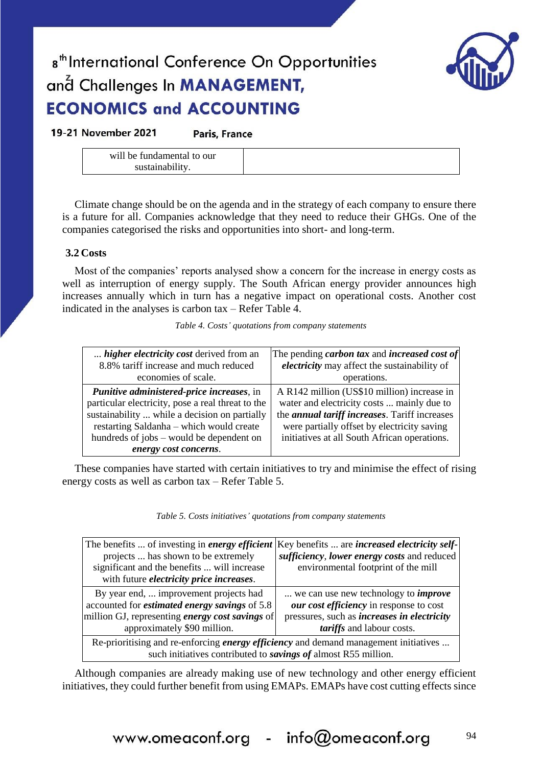

19-21 November 2021

Paris, France

| will be fundamental to our |  |
|----------------------------|--|
| sustainability.            |  |

Climate change should be on the agenda and in the strategy of each company to ensure there is a future for all. Companies acknowledge that they need to reduce their GHGs. One of the companies categorised the risks and opportunities into short- and long-term.

### **3.2 Costs**

Most of the companies' reports analysed show a concern for the increase in energy costs as well as interruption of energy supply. The South African energy provider announces high increases annually which in turn has a negative impact on operational costs. Another cost indicated in the analyses is carbon tax – Refer Table 4.

|  |  | Table 4. Costs' quotations from company statements |
|--|--|----------------------------------------------------|
|--|--|----------------------------------------------------|

| <i>higher electricity cost</i> derived from an                                                                                                                                                                                                                          | The pending <i>carbon tax</i> and <i>increased cost of</i>                                                                                                                                                                                        |
|-------------------------------------------------------------------------------------------------------------------------------------------------------------------------------------------------------------------------------------------------------------------------|---------------------------------------------------------------------------------------------------------------------------------------------------------------------------------------------------------------------------------------------------|
| 8.8% tariff increase and much reduced                                                                                                                                                                                                                                   | electricity may affect the sustainability of                                                                                                                                                                                                      |
| economies of scale.                                                                                                                                                                                                                                                     | operations.                                                                                                                                                                                                                                       |
| <i>Punitive administered-price increases, in</i><br>particular electricity, pose a real threat to the<br>sustainability  while a decision on partially<br>restarting Saldanha – which would create<br>hundreds of jobs – would be dependent on<br>energy cost concerns. | A R142 million (US\$10 million) increase in<br>water and electricity costs  mainly due to<br>the <i>annual tariff increases</i> . Tariff increases<br>were partially offset by electricity saving<br>initiatives at all South African operations. |

These companies have started with certain initiatives to try and minimise the effect of rising energy costs as well as carbon tax – Refer Table 5.

| The benefits  of investing in <i>energy efficient</i>                                                 | Key benefits  are <i>increased electricity self-</i> |  |
|-------------------------------------------------------------------------------------------------------|------------------------------------------------------|--|
| projects  has shown to be extremely                                                                   | sufficiency, lower energy costs and reduced          |  |
| significant and the benefits  will increase                                                           | environmental footprint of the mill                  |  |
| with future <i>electricity</i> price increases.                                                       |                                                      |  |
| By year end,  improvement projects had                                                                | we can use new technology to <i>improve</i>          |  |
| accounted for <i>estimated energy savings</i> of 5.8                                                  | our cost efficiency in response to cost              |  |
| million GJ, representing energy cost savings of<br>pressures, such as <i>increases in electricity</i> |                                                      |  |
| approximately \$90 million.                                                                           | tariffs and labour costs.                            |  |
| Re-prioritising and re-enforcing <i>energy efficiency</i> and demand management initiatives           |                                                      |  |
| such initiatives contributed to <i>savings of</i> almost R55 million.                                 |                                                      |  |

Although companies are already making use of new technology and other energy efficient initiatives, they could further benefit from using EMAPs. EMAPs have cost cutting effects since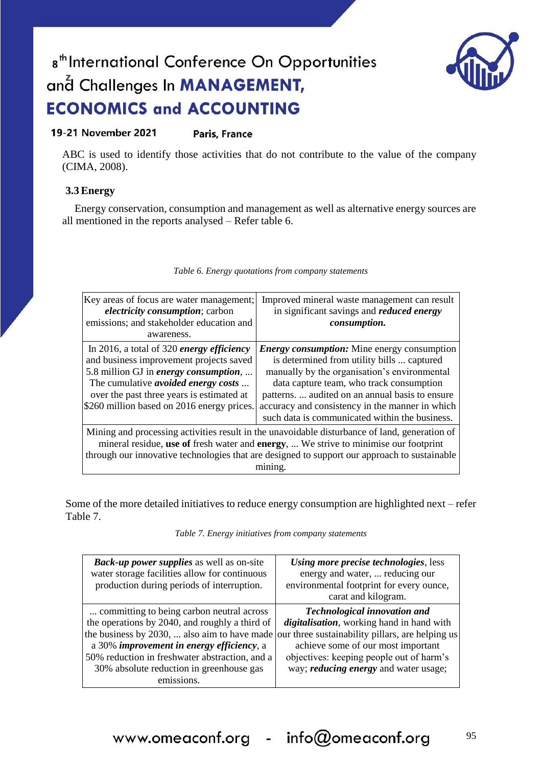

ABC is used to identify those activities that do not contribute to the value of the company (CIMA, 2008).

### **3.3 Energy**

Energy conservation, consumption and management as well as alternative energy sources are all mentioned in the reports analysed – Refer table 6.

| Key areas of focus are water management;<br><i>electricity consumption; carbon</i><br>emissions; and stakeholder education and<br>awareness.                                                                                                                                                     | Improved mineral waste management can result<br>in significant savings and <i>reduced energy</i><br>consumption.                                                                                                                                                                                                                                     |  |
|--------------------------------------------------------------------------------------------------------------------------------------------------------------------------------------------------------------------------------------------------------------------------------------------------|------------------------------------------------------------------------------------------------------------------------------------------------------------------------------------------------------------------------------------------------------------------------------------------------------------------------------------------------------|--|
| In 2016, a total of 320 energy efficiency<br>and business improvement projects saved<br>5.8 million GJ in energy consumption,<br>The cumulative <i>avoided energy costs</i><br>over the past three years is estimated at<br>\$260 million based on 2016 energy prices.                           | <b>Energy consumption:</b> Mine energy consumption<br>is determined from utility bills  captured<br>manually by the organisation's environmental<br>data capture team, who track consumption<br>patterns.  audited on an annual basis to ensure<br>accuracy and consistency in the manner in which<br>such data is communicated within the business. |  |
| Mining and processing activities result in the unavoidable disturbance of land, generation of<br>mineral residue, use of fresh water and energy,  We strive to minimise our footprint<br>through our innovative technologies that are designed to support our approach to sustainable<br>mınıng. |                                                                                                                                                                                                                                                                                                                                                      |  |

Some of the more detailed initiatives to reduce energy consumption are highlighted next – refer Table 7.

*Table 7. Energy initiatives from company statements*

| <b>Back-up power supplies</b> as well as on-site<br>water storage facilities allow for continuous<br>production during periods of interruption.                                                                                                                                                      | Using more precise technologies, less<br>energy and water,  reducing our<br>environmental footprint for every ounce,<br>carat and kilogram.                                                                                                                            |
|------------------------------------------------------------------------------------------------------------------------------------------------------------------------------------------------------------------------------------------------------------------------------------------------------|------------------------------------------------------------------------------------------------------------------------------------------------------------------------------------------------------------------------------------------------------------------------|
| committing to being carbon neutral across<br>the operations by 2040, and roughly a third of<br>the business by 2030,  also aim to have made<br>a 30% improvement in energy efficiency, a<br>50% reduction in freshwater abstraction, and a<br>30% absolute reduction in greenhouse gas<br>emissions. | <b>Technological innovation and</b><br>digitalisation, working hand in hand with<br>our three sustainability pillars, are helping us<br>achieve some of our most important<br>objectives: keeping people out of harm's<br>way; <i>reducing energy</i> and water usage; |

### *Table 6. Energy quotations from company statements*

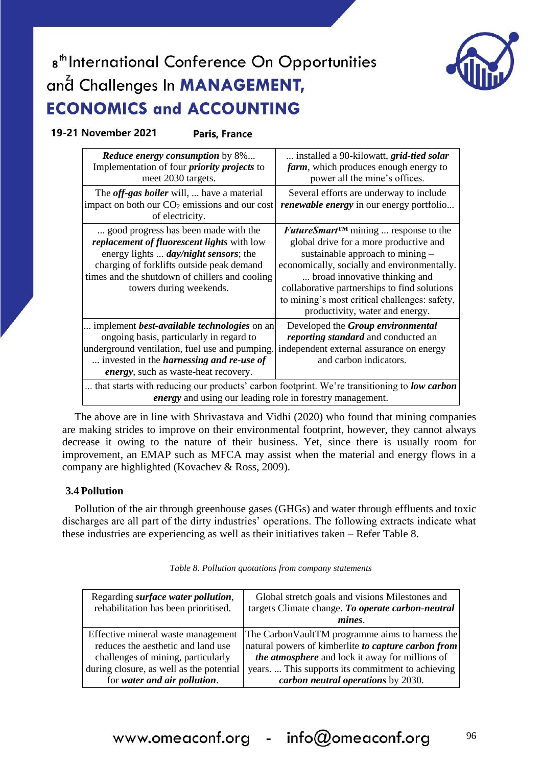

19-21 November 2021

**Paris, France** 

| <b>Reduce energy consumption</b> by 8%<br>Implementation of four <i>priority projects</i> to<br>meet 2030 targets.                                                                                                                                           | installed a 90-kilowatt, <i>grid-tied solar</i><br>farm, which produces enough energy to<br>power all the mine's offices.                                                                                                                                                                                                                                   |
|--------------------------------------------------------------------------------------------------------------------------------------------------------------------------------------------------------------------------------------------------------------|-------------------------------------------------------------------------------------------------------------------------------------------------------------------------------------------------------------------------------------------------------------------------------------------------------------------------------------------------------------|
| The <i>off-gas boiler</i> will,  have a material<br>impact on both our $CO2$ emissions and our cost<br>of electricity.                                                                                                                                       | Several efforts are underway to include<br><i>renewable energy</i> in our energy portfolio                                                                                                                                                                                                                                                                  |
| good progress has been made with the<br>replacement of fluorescent lights with low<br>energy lights <i>day/night sensors</i> ; the<br>charging of forklifts outside peak demand<br>times and the shutdown of chillers and cooling<br>towers during weekends. | <b>FutureSmart<sup>TM</sup></b> mining  response to the<br>global drive for a more productive and<br>sustainable approach to mining $-$<br>economically, socially and environmentally.<br>broad innovative thinking and<br>collaborative partnerships to find solutions<br>to mining's most critical challenges: safety,<br>productivity, water and energy. |
| implement <i>best-available technologies</i> on an<br>ongoing basis, particularly in regard to<br>underground ventilation, fuel use and pumping.<br>invested in the <i>harnessing and re-use of</i><br><i>energy</i> , such as waste-heat recovery.          | Developed the Group environmental<br>reporting standard and conducted an<br>independent external assurance on energy<br>and carbon indicators.                                                                                                                                                                                                              |
| that starts with reducing our products' carbon footprint. We're transitioning to low carbon<br><i>energy</i> and using our leading role in forestry management.                                                                                              |                                                                                                                                                                                                                                                                                                                                                             |

The above are in line with Shrivastava and Vidhi (2020) who found that mining companies are making strides to improve on their environmental footprint, however, they cannot always decrease it owing to the nature of their business. Yet, since there is usually room for improvement, an EMAP such as MFCA may assist when the material and energy flows in a company are highlighted (Kovachev & Ross, 2009).

### **3.4 Pollution**

Pollution of the air through greenhouse gases (GHGs) and water through effluents and toxic discharges are all part of the dirty industries' operations. The following extracts indicate what these industries are experiencing as well as their initiatives taken – Refer Table 8.

| Regarding <i>surface</i> water <i>pollution</i> ,<br>rehabilitation has been prioritised. | Global stretch goals and visions Milestones and<br>targets Climate change. To operate carbon-neutral     |
|-------------------------------------------------------------------------------------------|----------------------------------------------------------------------------------------------------------|
|                                                                                           | mines.                                                                                                   |
| Effective mineral waste management<br>reduces the aesthetic and land use                  | The Carbon Vault TM programme aims to harness the<br>natural powers of kimberlite to capture carbon from |
| challenges of mining, particularly                                                        | the atmosphere and lock it away for millions of                                                          |
| during closure, as well as the potential                                                  | years This supports its commitment to achieving                                                          |
| for water and air pollution.                                                              | carbon neutral operations by 2030.                                                                       |

*Table 8. Pollution quotations from company statements*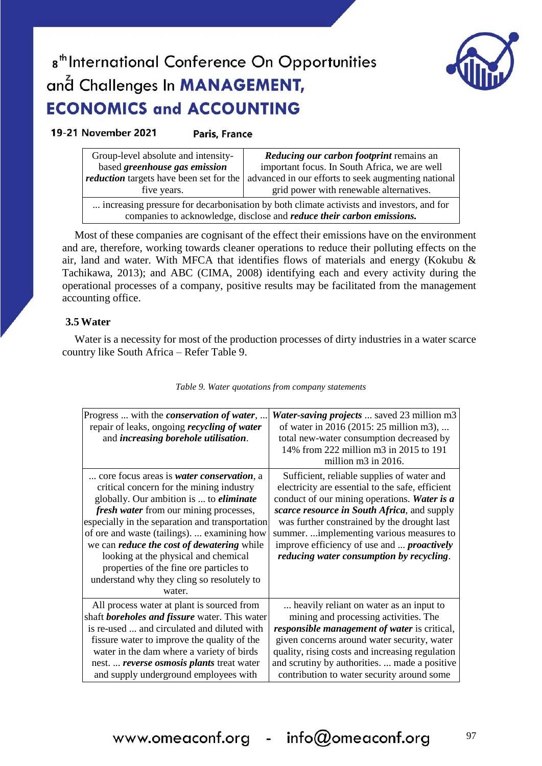

### 19-21 November 2021

### **Paris, France**

| Group-level absolute and intensity-                                                                                                                                       | Reducing our carbon footprint remains an            |  |
|---------------------------------------------------------------------------------------------------------------------------------------------------------------------------|-----------------------------------------------------|--|
| based greenhouse gas emission                                                                                                                                             | important focus. In South Africa, we are well       |  |
| <i>reduction</i> targets have been set for the                                                                                                                            | advanced in our efforts to seek augmenting national |  |
| five years.                                                                                                                                                               | grid power with renewable alternatives.             |  |
| increasing pressure for decarbonisation by both climate activists and investors, and for<br>companies to acknowledge, disclose and <i>reduce their carbon emissions</i> . |                                                     |  |

Most of these companies are cognisant of the effect their emissions have on the environment and are, therefore, working towards cleaner operations to reduce their polluting effects on the air, land and water. With MFCA that identifies flows of materials and energy (Kokubu & Tachikawa, 2013); and ABC (CIMA, 2008) identifying each and every activity during the operational processes of a company, positive results may be facilitated from the management accounting office.

### **3.5 Water**

Water is a necessity for most of the production processes of dirty industries in a water scarce country like South Africa – Refer Table 9.

| Progress  with the <i>conservation of water</i> ,<br>repair of leaks, ongoing <i>recycling of water</i><br>and increasing borehole utilisation.                                                                                                                                                                                                                                                                                                                                             | <b>Water-saving projects</b> saved 23 million m3<br>of water in 2016 (2015: 25 million m3),<br>total new-water consumption decreased by<br>14% from 222 million m3 in 2015 to 191<br>million m3 in 2016.                                                                                                                                                                                  |
|---------------------------------------------------------------------------------------------------------------------------------------------------------------------------------------------------------------------------------------------------------------------------------------------------------------------------------------------------------------------------------------------------------------------------------------------------------------------------------------------|-------------------------------------------------------------------------------------------------------------------------------------------------------------------------------------------------------------------------------------------------------------------------------------------------------------------------------------------------------------------------------------------|
| core focus areas is <i>water conservation</i> , a<br>critical concern for the mining industry<br>globally. Our ambition is  to <i>eliminate</i><br>fresh water from our mining processes,<br>especially in the separation and transportation<br>of ore and waste (tailings).  examining how<br>we can <i>reduce the cost of dewatering</i> while<br>looking at the physical and chemical<br>properties of the fine ore particles to<br>understand why they cling so resolutely to<br>water. | Sufficient, reliable supplies of water and<br>electricity are essential to the safe, efficient<br>conduct of our mining operations. Water is a<br>scarce resource in South Africa, and supply<br>was further constrained by the drought last<br>summer.  implementing various measures to<br>improve efficiency of use and <i>proactively</i><br>reducing water consumption by recycling. |
| All process water at plant is sourced from<br>shaft <b>boreholes and fissure</b> water. This water<br>is re-used  and circulated and diluted with<br>fissure water to improve the quality of the<br>water in the dam where a variety of birds<br>nest.  reverse osmosis plants treat water<br>and supply underground employees with                                                                                                                                                         | heavily reliant on water as an input to<br>mining and processing activities. The<br>responsible management of water is critical,<br>given concerns around water security, water<br>quality, rising costs and increasing regulation<br>and scrutiny by authorities.  made a positive<br>contribution to water security around some                                                         |

#### *Table 9. Water quotations from company statements*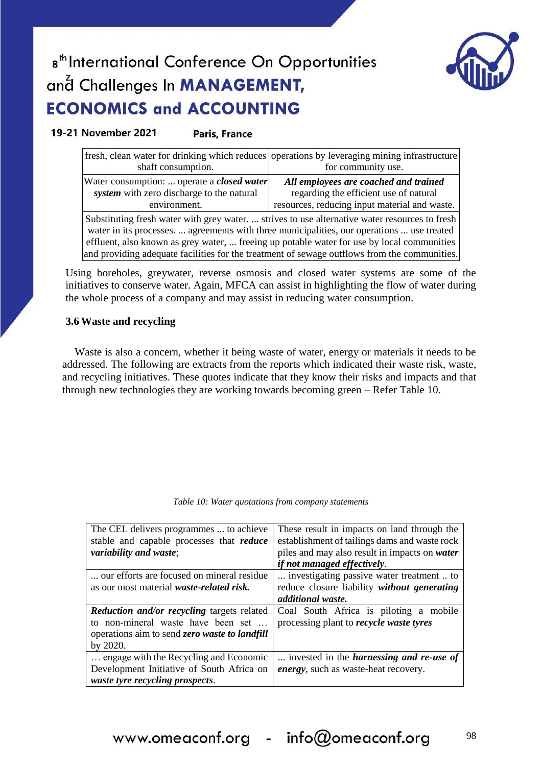

19-21 November 2021 Paris, France

| shaft consumption.                                                                                                                                                                                                                                                                                                                                                                         | fresh, clean water for drinking which reduces operations by leveraging mining infrastructure<br>for community use.               |  |  |
|--------------------------------------------------------------------------------------------------------------------------------------------------------------------------------------------------------------------------------------------------------------------------------------------------------------------------------------------------------------------------------------------|----------------------------------------------------------------------------------------------------------------------------------|--|--|
| Water consumption:  operate a closed water<br>system with zero discharge to the natural<br>environment.                                                                                                                                                                                                                                                                                    | All employees are coached and trained<br>regarding the efficient use of natural<br>resources, reducing input material and waste. |  |  |
| Substituting fresh water with grey water.  strives to use alternative water resources to fresh<br>water in its processes.  agreements with three municipalities, our operations  use treated<br>effluent, also known as grey water,  freeing up potable water for use by local communities<br>and providing adequate facilities for the treatment of sewage outflows from the communities. |                                                                                                                                  |  |  |

Using boreholes, greywater, reverse osmosis and closed water systems are some of the initiatives to conserve water. Again, MFCA can assist in highlighting the flow of water during the whole process of a company and may assist in reducing water consumption.

### **3.6 Waste and recycling**

Waste is also a concern, whether it being waste of water, energy or materials it needs to be addressed. The following are extracts from the reports which indicated their waste risk, waste, and recycling initiatives. These quotes indicate that they know their risks and impacts and that through new technologies they are working towards becoming green – Refer Table 10.

|  | Table 10: Water quotations from company statements |  |  |
|--|----------------------------------------------------|--|--|
|  |                                                    |  |  |

| The CEL delivers programmes  to achieve          | These result in impacts on land through the     |
|--------------------------------------------------|-------------------------------------------------|
| stable and capable processes that reduce         | establishment of tailings dams and waste rock   |
| variability and waste;                           | piles and may also result in impacts on water   |
|                                                  | <i>if not managed effectively.</i>              |
| our efforts are focused on mineral residue       | investigating passive water treatment  to       |
| as our most material <i>waste-related risk</i> . | reduce closure liability without generating     |
|                                                  | additional waste.                               |
| Reduction and/or recycling targets related       | Coal South Africa is piloting a mobile          |
| to non-mineral waste have been set               | processing plant to <i>recycle waste tyres</i>  |
| operations aim to send zero waste to landfill    |                                                 |
| by 2020.                                         |                                                 |
| engage with the Recycling and Economic           | invested in the <i>harnessing and re-use of</i> |
| Development Initiative of South Africa on        | <i>energy</i> , such as waste-heat recovery.    |
| waste tyre recycling prospects.                  |                                                 |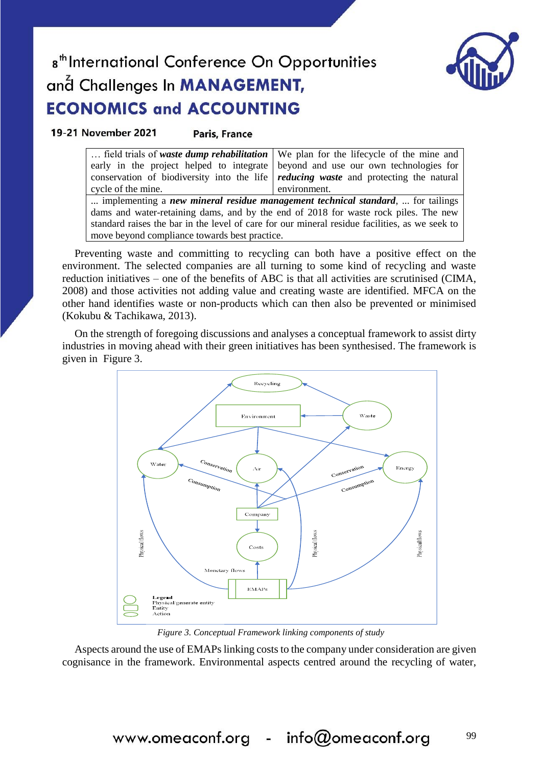

99

# 8<sup>th</sup> International Conference On Opportunities and Challenges In **MANAGEMENT**, **ECONOMICS and ACCOUNTING**

19-21 November 2021

**Paris, France** 

|                                                                                                | field trials of waste dump rehabilitation   We plan for the lifecycle of the mine and       |  |  |
|------------------------------------------------------------------------------------------------|---------------------------------------------------------------------------------------------|--|--|
| early in the project helped to integrate                                                       | beyond and use our own technologies for                                                     |  |  |
|                                                                                                | conservation of biodiversity into the life <i>reducing waste</i> and protecting the natural |  |  |
| cycle of the mine.                                                                             | environment.                                                                                |  |  |
| implementing a new mineral residue management technical standard,  for tailings                |                                                                                             |  |  |
| dams and water-retaining dams, and by the end of 2018 for waste rock piles. The new            |                                                                                             |  |  |
| standard raises the bar in the level of care for our mineral residue facilities, as we seek to |                                                                                             |  |  |
| move beyond compliance towards best practice.                                                  |                                                                                             |  |  |

Preventing waste and committing to recycling can both have a positive effect on the environment. The selected companies are all turning to some kind of recycling and waste reduction initiatives – one of the benefits of ABC is that all activities are scrutinised (CIMA, 2008) and those activities not adding value and creating waste are identified. MFCA on the other hand identifies waste or non-products which can then also be prevented or minimised (Kokubu & Tachikawa, 2013).

On the strength of foregoing discussions and analyses a conceptual framework to assist dirty industries in moving ahead with their green initiatives has been synthesised. The framework is given in Figure 3.



*Figure 3. Conceptual Framework linking components of study*

Aspects around the use of EMAPs linking costs to the company under consideration are given cognisance in the framework. Environmental aspects centred around the recycling of water,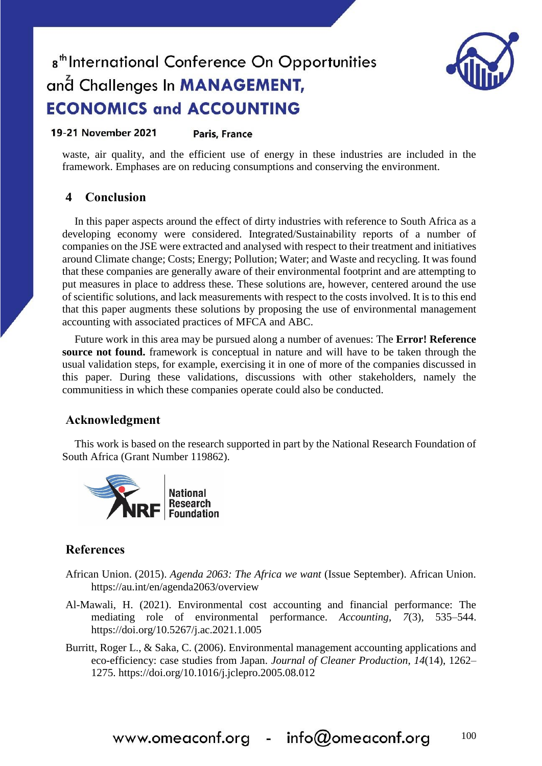

#### 19-21 November 2021 **Paris, France**

waste, air quality, and the efficient use of energy in these industries are included in the framework. Emphases are on reducing consumptions and conserving the environment.

### **4 Conclusion**

In this paper aspects around the effect of dirty industries with reference to South Africa as a developing economy were considered. Integrated/Sustainability reports of a number of companies on the JSE were extracted and analysed with respect to their treatment and initiatives around Climate change; Costs; Energy; Pollution; Water; and Waste and recycling. It was found that these companies are generally aware of their environmental footprint and are attempting to put measures in place to address these. These solutions are, however, centered around the use of scientific solutions, and lack measurements with respect to the costs involved. It is to this end that this paper augments these solutions by proposing the use of environmental management accounting with associated practices of MFCA and ABC.

Future work in this area may be pursued along a number of avenues: The **Error! Reference source not found.** framework is conceptual in nature and will have to be taken through the usual validation steps, for example, exercising it in one of more of the companies discussed in this paper. During these validations, discussions with other stakeholders, namely the communitiess in which these companies operate could also be conducted.

### **Acknowledgment**

This work is based on the research supported in part by the National Research Foundation of South Africa (Grant Number 119862).



### **References**

- African Union. (2015). *Agenda 2063: The Africa we want* (Issue September). African Union. https://au.int/en/agenda2063/overview
- Al-Mawali, H. (2021). Environmental cost accounting and financial performance: The mediating role of environmental performance. *Accounting*, *7*(3), 535–544. https://doi.org/10.5267/j.ac.2021.1.005
- Burritt, Roger L., & Saka, C. (2006). Environmental management accounting applications and eco-efficiency: case studies from Japan. *Journal of Cleaner Production*, *14*(14), 1262– 1275. https://doi.org/10.1016/j.jclepro.2005.08.012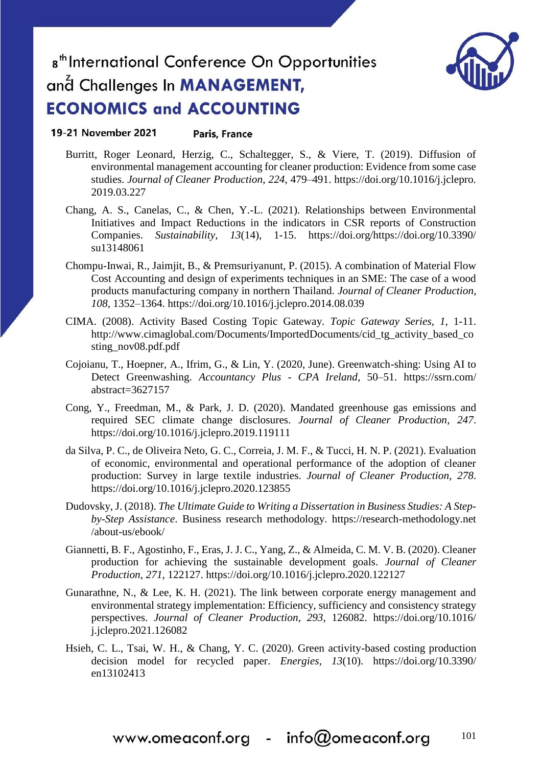#### 19-21 November 2021 Paris, France

- Burritt, Roger Leonard, Herzig, C., Schaltegger, S., & Viere, T. (2019). Diffusion of environmental management accounting for cleaner production: Evidence from some case studies. *Journal of Cleaner Production*, *224*, 479–491. https://doi.org/10.1016/j.jclepro. 2019.03.227
- Chang, A. S., Canelas, C., & Chen, Y.-L. (2021). Relationships between Environmental Initiatives and Impact Reductions in the indicators in CSR reports of Construction Companies. *Sustainability*, *13*(14), 1-15. https://doi.org/https://doi.org/10.3390/ su13148061
- Chompu-Inwai, R., Jaimjit, B., & Premsuriyanunt, P. (2015). A combination of Material Flow Cost Accounting and design of experiments techniques in an SME: The case of a wood products manufacturing company in northern Thailand. *Journal of Cleaner Production*, *108*, 1352–1364. https://doi.org/10.1016/j.jclepro.2014.08.039
- CIMA. (2008). Activity Based Costing Topic Gateway. *Topic Gateway Series*, *1*, 1-11. http://www.cimaglobal.com/Documents/ImportedDocuments/cid\_tg\_activity\_based\_co\_ sting\_nov08.pdf.pdf
- Cojoianu, T., Hoepner, A., Ifrim, G., & Lin, Y. (2020, June). Greenwatch-shing: Using AI to Detect Greenwashing. *Accountancy Plus - CPA Ireland*, 50–51. https://ssrn.com/ abstract=3627157
- Cong, Y., Freedman, M., & Park, J. D. (2020). Mandated greenhouse gas emissions and required SEC climate change disclosures. *Journal of Cleaner Production*, *247*. https://doi.org/10.1016/j.jclepro.2019.119111
- da Silva, P. C., de Oliveira Neto, G. C., Correia, J. M. F., & Tucci, H. N. P. (2021). Evaluation of economic, environmental and operational performance of the adoption of cleaner production: Survey in large textile industries. *Journal of Cleaner Production*, *278*. https://doi.org/10.1016/j.jclepro.2020.123855
- Dudovsky, J. (2018). *The Ultimate Guide to Writing a Dissertation in Business Studies: A Stepby-Step Assistance*. Business research methodology. https://research-methodology.net /about-us/ebook/
- Giannetti, B. F., Agostinho, F., Eras, J. J. C., Yang, Z., & Almeida, C. M. V. B. (2020). Cleaner production for achieving the sustainable development goals. *Journal of Cleaner Production*, *271*, 122127. https://doi.org/10.1016/j.jclepro.2020.122127
- Gunarathne, N., & Lee, K. H. (2021). The link between corporate energy management and environmental strategy implementation: Efficiency, sufficiency and consistency strategy perspectives. *Journal of Cleaner Production*, *293*, 126082. https://doi.org/10.1016/ j.jclepro.2021.126082
- Hsieh, C. L., Tsai, W. H., & Chang, Y. C. (2020). Green activity-based costing production decision model for recycled paper. *Energies*, *13*(10). https://doi.org/10.3390/ en13102413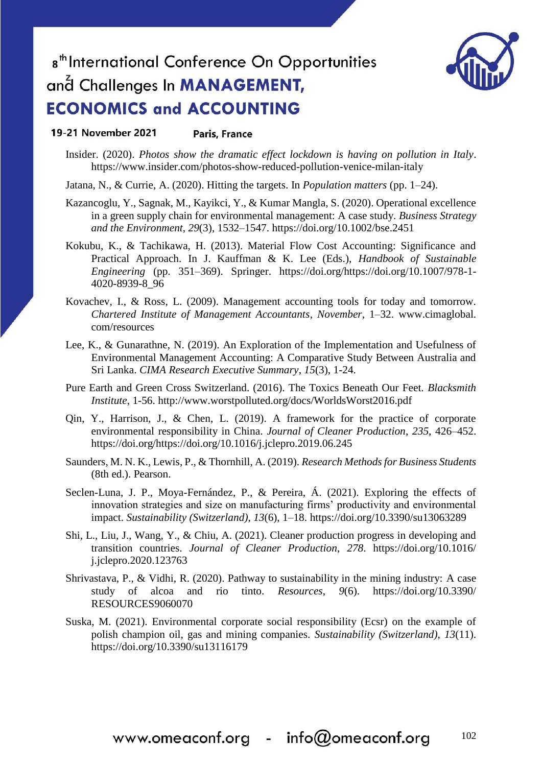

#### 19-21 November 2021 Paris, France

- Insider. (2020). *Photos show the dramatic effect lockdown is having on pollution in Italy*. https://www.insider.com/photos-show-reduced-pollution-venice-milan-italy
- Jatana, N., & Currie, A. (2020). Hitting the targets. In *Population matters* (pp. 1–24).
- Kazancoglu, Y., Sagnak, M., Kayikci, Y., & Kumar Mangla, S. (2020). Operational excellence in a green supply chain for environmental management: A case study. *Business Strategy and the Environment*, *29*(3), 1532–1547. https://doi.org/10.1002/bse.2451
- Kokubu, K., & Tachikawa, H. (2013). Material Flow Cost Accounting: Significance and Practical Approach. In J. Kauffman & K. Lee (Eds.), *Handbook of Sustainable Engineering* (pp. 351–369). Springer. https://doi.org/https://doi.org/10.1007/978-1- 4020-8939-8\_96
- Kovachev, I., & Ross, L. (2009). Management accounting tools for today and tomorrow. *Chartered Institute of Management Accountants*, *November*, 1–32. www.cimaglobal. com/resources
- Lee, K., & Gunarathne, N. (2019). An Exploration of the Implementation and Usefulness of Environmental Management Accounting: A Comparative Study Between Australia and Sri Lanka. *CIMA Research Executive Summary*, *15*(3), 1-24.
- Pure Earth and Green Cross Switzerland. (2016). The Toxics Beneath Our Feet. *Blacksmith Institute*, 1-56. http://www.worstpolluted.org/docs/WorldsWorst2016.pdf
- Qin, Y., Harrison, J., & Chen, L. (2019). A framework for the practice of corporate environmental responsibility in China. *Journal of Cleaner Production*, *235*, 426–452. https://doi.org/https://doi.org/10.1016/j.jclepro.2019.06.245
- Saunders, M. N. K., Lewis, P., & Thornhill, A. (2019). *Research Methods for Business Students* (8th ed.). Pearson.
- Seclen-Luna, J. P., Moya-Fernández, P., & Pereira, Á. (2021). Exploring the effects of innovation strategies and size on manufacturing firms' productivity and environmental impact. *Sustainability (Switzerland)*, *13*(6), 1–18. https://doi.org/10.3390/su13063289
- Shi, L., Liu, J., Wang, Y., & Chiu, A. (2021). Cleaner production progress in developing and transition countries. *Journal of Cleaner Production*, *278*. https://doi.org/10.1016/ j.jclepro.2020.123763
- Shrivastava, P., & Vidhi, R. (2020). Pathway to sustainability in the mining industry: A case study of alcoa and rio tinto. *Resources*, *9*(6). https://doi.org/10.3390/ RESOURCES9060070
- Suska, M. (2021). Environmental corporate social responsibility (Ecsr) on the example of polish champion oil, gas and mining companies. *Sustainability (Switzerland)*, *13*(11). https://doi.org/10.3390/su13116179